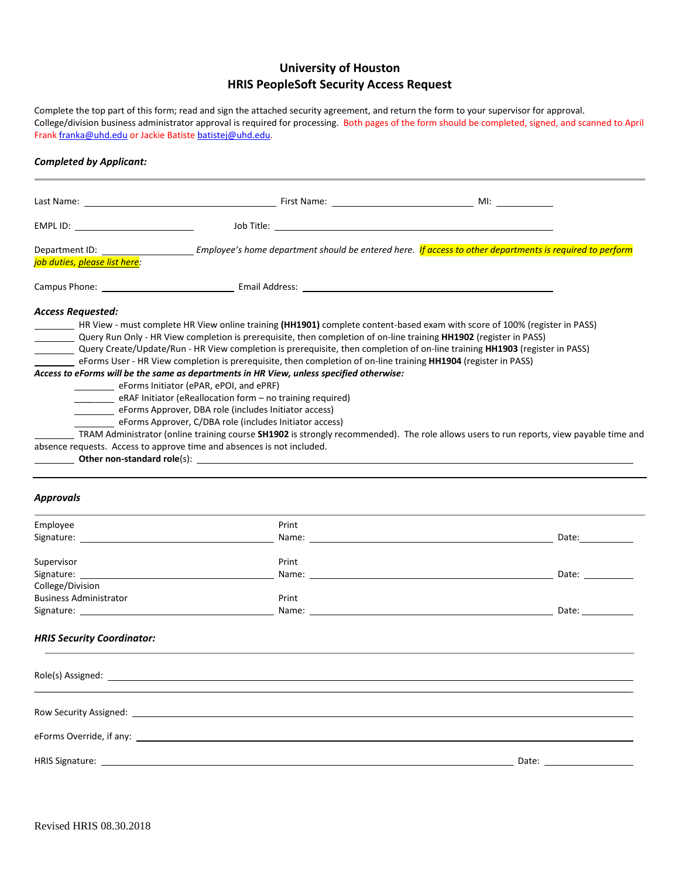# **University of Houston HRIS PeopleSoft Security Access Request**

Complete the top part of this form; read and sign the attached security agreement, and return the form to your supervisor for approval. College/division business administrator approval is required for processing. Both pages of the form should be completed, signed, and scanned to April Fran[k franka@uhd.edu](mailto:franka@uhd.edu) or Jackie Batist[e batistej@uhd.edu.](mailto:batistej@uhd.edu)

## *Completed by Applicant:*

| job duties, please list here:                                                                                                                                                                                                                                                                                                                                                                                                                                                                                                                                                                                                                                                                                                                                                                                                                                                                                                                                                                                                                                                                                                                                                                                                                                                                                                                 |       | Department ID: Employee's home department should be entered here. If access to other departments is required to perform                                                                                                                                                                                                                                                                                                                                          |  |
|-----------------------------------------------------------------------------------------------------------------------------------------------------------------------------------------------------------------------------------------------------------------------------------------------------------------------------------------------------------------------------------------------------------------------------------------------------------------------------------------------------------------------------------------------------------------------------------------------------------------------------------------------------------------------------------------------------------------------------------------------------------------------------------------------------------------------------------------------------------------------------------------------------------------------------------------------------------------------------------------------------------------------------------------------------------------------------------------------------------------------------------------------------------------------------------------------------------------------------------------------------------------------------------------------------------------------------------------------|-------|------------------------------------------------------------------------------------------------------------------------------------------------------------------------------------------------------------------------------------------------------------------------------------------------------------------------------------------------------------------------------------------------------------------------------------------------------------------|--|
|                                                                                                                                                                                                                                                                                                                                                                                                                                                                                                                                                                                                                                                                                                                                                                                                                                                                                                                                                                                                                                                                                                                                                                                                                                                                                                                                               |       |                                                                                                                                                                                                                                                                                                                                                                                                                                                                  |  |
| <b>Access Requested:</b><br>HR View - must complete HR View online training (HH1901) complete content-based exam with score of 100% (register in PASS)<br>Query Run Only - HR View completion is prerequisite, then completion of on-line training HH1902 (register in PASS)<br>Query Create/Update/Run - HR View completion is prerequisite, then completion of on-line training HH1903 (register in PASS)<br>eForms User - HR View completion is prerequisite, then completion of on-line training HH1904 (register in PASS)<br>Access to eForms will be the same as departments in HR View, unless specified otherwise:<br>eForms Initiator (ePAR, ePOI, and ePRF)<br>eRAF Initiator (eReallocation form - no training required)<br>eForms Approver, DBA role (includes Initiator access)<br>eForms Approver, C/DBA role (includes Initiator access)<br>TRAM Administrator (online training course SH1902 is strongly recommended). The role allows users to run reports, view payable time and<br>absence requests. Access to approve time and absences is not included.<br><b>Other non-standard role(s):</b> <u>the contract of the contract of the contract of the contract of the contract of the contract of the contract of the contract of the contract of the contract of the contract of the contract of</u><br><b>Approvals</b> |       |                                                                                                                                                                                                                                                                                                                                                                                                                                                                  |  |
| Employee                                                                                                                                                                                                                                                                                                                                                                                                                                                                                                                                                                                                                                                                                                                                                                                                                                                                                                                                                                                                                                                                                                                                                                                                                                                                                                                                      | Print |                                                                                                                                                                                                                                                                                                                                                                                                                                                                  |  |
| Signature: the contract of the contract of the contract of the contract of the contract of the contract of the contract of the contract of the contract of the contract of the contract of the contract of the contract of the                                                                                                                                                                                                                                                                                                                                                                                                                                                                                                                                                                                                                                                                                                                                                                                                                                                                                                                                                                                                                                                                                                                |       | Name: Name and the second state of the second state of the second state of the second state of the second state of the second state of the second state of the second state of the second state of the second state of the sec<br>Date: the contract of the contract of the contract of the contract of the contract of the contract of the contract of the contract of the contract of the contract of the contract of the contract of the contract of the cont |  |
| Supervisor<br>College/Division                                                                                                                                                                                                                                                                                                                                                                                                                                                                                                                                                                                                                                                                                                                                                                                                                                                                                                                                                                                                                                                                                                                                                                                                                                                                                                                | Print | Name: Name and the second contract of the second contract of the second contract of the second contract of the second contract of the second contract of the second contract of the second contract of the second contract of<br>Date: the contract of the contract of the contract of the contract of the contract of the contract of the contract of the contract of the contract of the contract of the contract of the contract of the contract of the cont  |  |
| <b>Business Administrator</b>                                                                                                                                                                                                                                                                                                                                                                                                                                                                                                                                                                                                                                                                                                                                                                                                                                                                                                                                                                                                                                                                                                                                                                                                                                                                                                                 | Print | Date:                                                                                                                                                                                                                                                                                                                                                                                                                                                            |  |

### *HRIS Security Coordinator:*

| Row Security Assigned: No. 2014 19:30:00 19:30:00 19:30:00 19:30:00 19:30:00 19:30:00 19:30:00 19:30:00 19:30 |                                                                                                                                                                                                                                |
|---------------------------------------------------------------------------------------------------------------|--------------------------------------------------------------------------------------------------------------------------------------------------------------------------------------------------------------------------------|
|                                                                                                               |                                                                                                                                                                                                                                |
|                                                                                                               | Date: the contract of the contract of the contract of the contract of the contract of the contract of the contract of the contract of the contract of the contract of the contract of the contract of the contract of the cont |
|                                                                                                               |                                                                                                                                                                                                                                |